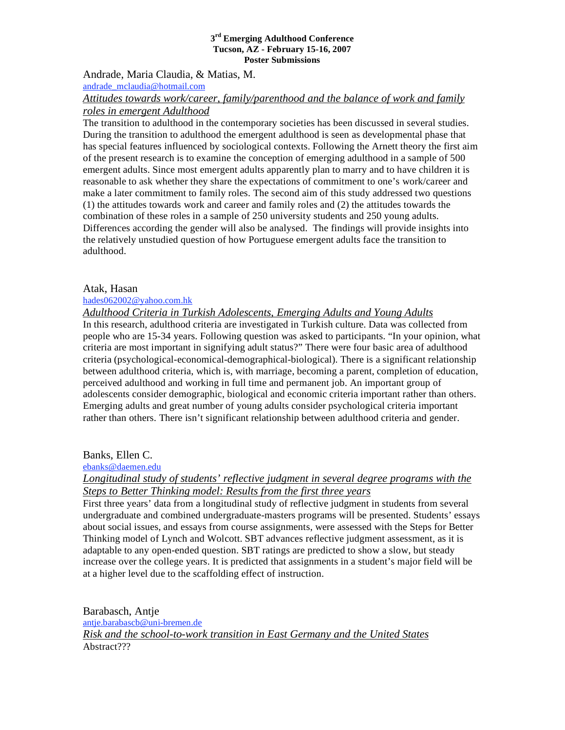Andrade, Maria Claudia, & Matias, M. andrade\_mclaudia@hotmail.com *Attitudes towards work/career, family/parenthood and the balance of work and family* 

### *roles in emergent Adulthood*

The transition to adulthood in the contemporary societies has been discussed in several studies. During the transition to adulthood the emergent adulthood is seen as developmental phase that has special features influenced by sociological contexts. Following the Arnett theory the first aim of the present research is to examine the conception of emerging adulthood in a sample of 500 emergent adults. Since most emergent adults apparently plan to marry and to have children it is reasonable to ask whether they share the expectations of commitment to one's work/career and make a later commitment to family roles. The second aim of this study addressed two questions (1) the attitudes towards work and career and family roles and (2) the attitudes towards the combination of these roles in a sample of 250 university students and 250 young adults. Differences according the gender will also be analysed. The findings will provide insights into the relatively unstudied question of how Portuguese emergent adults face the transition to adulthood.

### Atak, Hasan

#### hades062002@yahoo.com.hk

## *Adulthood Criteria in Turkish Adolescents, Emerging Adults and Young Adults*

In this research, adulthood criteria are investigated in Turkish culture. Data was collected from people who are 15-34 years. Following question was asked to participants. "In your opinion, what criteria are most important in signifying adult status?" There were four basic area of adulthood criteria (psychological-economical-demographical-biological). There is a significant relationship between adulthood criteria, which is, with marriage, becoming a parent, completion of education, perceived adulthood and working in full time and permanent job. An important group of adolescents consider demographic, biological and economic criteria important rather than others. Emerging adults and great number of young adults consider psychological criteria important rather than others. There isn't significant relationship between adulthood criteria and gender.

### Banks, Ellen C.

ebanks@daemen.edu

*Longitudinal study of students' reflective judgment in several degree programs with the Steps to Better Thinking model: Results from the first three years*

First three years' data from a longitudinal study of reflective judgment in students from several undergraduate and combined undergraduate-masters programs will be presented. Students' essays about social issues, and essays from course assignments, were assessed with the Steps for Better Thinking model of Lynch and Wolcott. SBT advances reflective judgment assessment, as it is adaptable to any open-ended question. SBT ratings are predicted to show a slow, but steady increase over the college years. It is predicted that assignments in a student's major field will be at a higher level due to the scaffolding effect of instruction.

Barabasch, Antje antje.barabascb@uni-bremen.de *Risk and the school-to-work transition in East Germany and the United States* Abstract???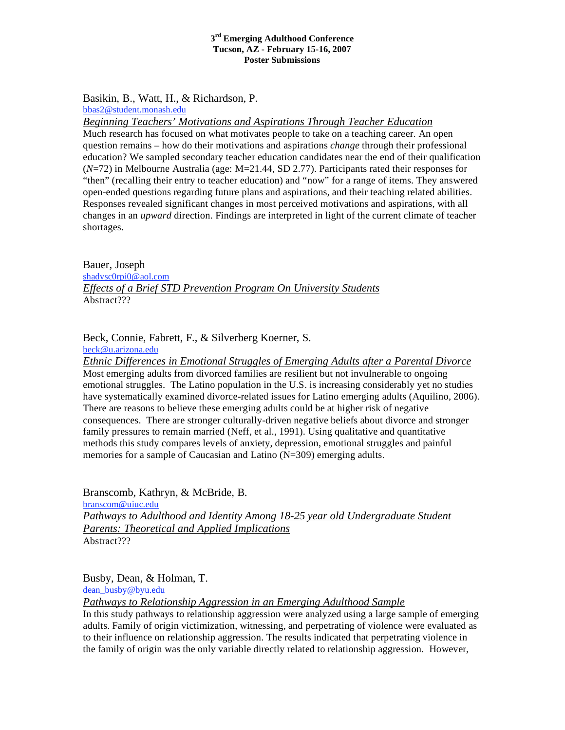Basikin, B., Watt, H., & Richardson, P. bbas2@student.monash.edu

*Beginning Teachers' Motivations and Aspirations Through Teacher Education*

Much research has focused on what motivates people to take on a teaching career. An open question remains – how do their motivations and aspirations *change* through their professional education? We sampled secondary teacher education candidates near the end of their qualification (*N*=72) in Melbourne Australia (age: M=21.44, SD 2.77). Participants rated their responses for "then" (recalling their entry to teacher education) and "now" for a range of items. They answered open-ended questions regarding future plans and aspirations, and their teaching related abilities. Responses revealed significant changes in most perceived motivations and aspirations, with all changes in an *upward* direction. Findings are interpreted in light of the current climate of teacher shortages.

Bauer, Joseph shadysc0rpi0@aol.com *Effects of a Brief STD Prevention Program On University Students* Abstract???

Beck, Connie, Fabrett, F., & Silverberg Koerner, S.

beck@u.arizona.edu

*Ethnic Differences in Emotional Struggles of Emerging Adults after a Parental Divorce* Most emerging adults from divorced families are resilient but not invulnerable to ongoing emotional struggles. The Latino population in the U.S. is increasing considerably yet no studies have systematically examined divorce-related issues for Latino emerging adults (Aquilino, 2006). There are reasons to believe these emerging adults could be at higher risk of negative consequences. There are stronger culturally-driven negative beliefs about divorce and stronger family pressures to remain married (Neff, et al., 1991). Using qualitative and quantitative methods this study compares levels of anxiety, depression, emotional struggles and painful memories for a sample of Caucasian and Latino (N=309) emerging adults.

Branscomb, Kathryn, & McBride, B. branscom@uiuc.edu *Pathways to Adulthood and Identity Among 18-25 year old Undergraduate Student Parents: Theoretical and Applied Implications* Abstract???

Busby, Dean, & Holman, T. dean\_busby@byu.edu *Pathways to Relationship Aggression in an Emerging Adulthood Sample*

In this study pathways to relationship aggression were analyzed using a large sample of emerging adults. Family of origin victimization, witnessing, and perpetrating of violence were evaluated as to their influence on relationship aggression. The results indicated that perpetrating violence in the family of origin was the only variable directly related to relationship aggression. However,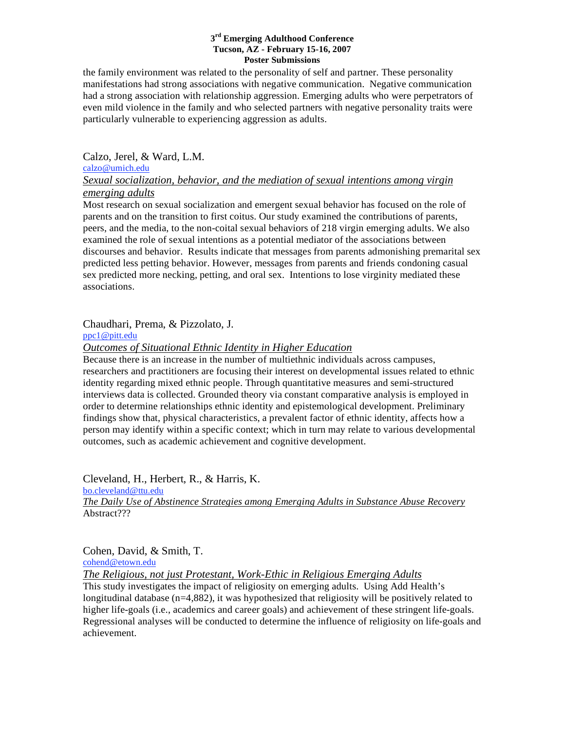the family environment was related to the personality of self and partner. These personality manifestations had strong associations with negative communication. Negative communication had a strong association with relationship aggression. Emerging adults who were perpetrators of even mild violence in the family and who selected partners with negative personality traits were particularly vulnerable to experiencing aggression as adults.

Calzo, Jerel, & Ward, L.M.

### calzo@umich.edu *Sexual socialization, behavior, and the mediation of sexual intentions among virgin emerging adults*

Most research on sexual socialization and emergent sexual behavior has focused on the role of parents and on the transition to first coitus. Our study examined the contributions of parents, peers, and the media, to the non-coital sexual behaviors of 218 virgin emerging adults. We also examined the role of sexual intentions as a potential mediator of the associations between discourses and behavior. Results indicate that messages from parents admonishing premarital sex predicted less petting behavior. However, messages from parents and friends condoning casual sex predicted more necking, petting, and oral sex. Intentions to lose virginity mediated these associations.

Chaudhari, Prema, & Pizzolato, J.

ppc1@pitt.edu

# *Outcomes of Situational Ethnic Identity in Higher Education*

Because there is an increase in the number of multiethnic individuals across campuses, researchers and practitioners are focusing their interest on developmental issues related to ethnic identity regarding mixed ethnic people. Through quantitative measures and semi-structured interviews data is collected. Grounded theory via constant comparative analysis is employed in order to determine relationships ethnic identity and epistemological development. Preliminary findings show that, physical characteristics, a prevalent factor of ethnic identity, affects how a person may identify within a specific context; which in turn may relate to various developmental outcomes, such as academic achievement and cognitive development.

Cleveland, H., Herbert, R., & Harris, K. bo.cleveland@ttu.edu *The Daily Use of Abstinence Strategies among Emerging Adults in Substance Abuse Recovery* Abstract???

Cohen, David, & Smith, T.

cohend@etown.edu

*The Religious, not just Protestant, Work-Ethic in Religious Emerging Adults*

This study investigates the impact of religiosity on emerging adults. Using Add Health's longitudinal database  $(n=4,882)$ , it was hypothesized that religiosity will be positively related to higher life-goals (i.e., academics and career goals) and achievement of these stringent life-goals. Regressional analyses will be conducted to determine the influence of religiosity on life-goals and achievement.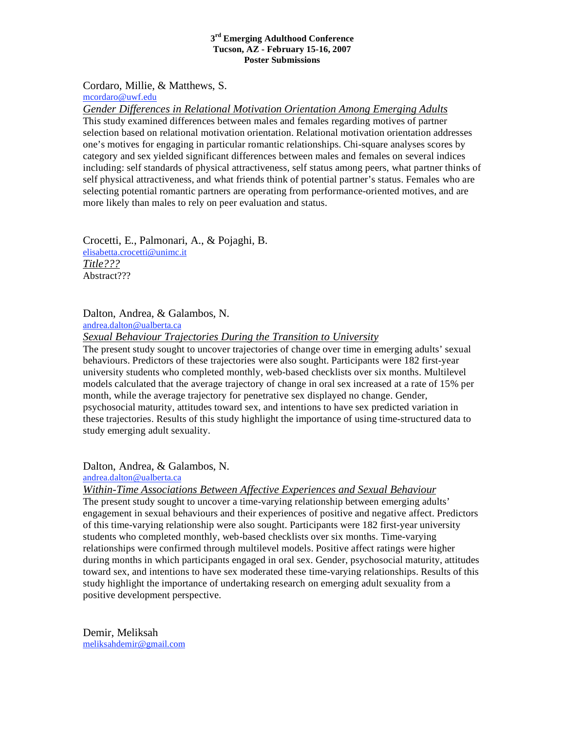Cordaro, Millie, & Matthews, S. mcordaro@uwf.edu

*Gender Differences in Relational Motivation Orientation Among Emerging Adults* This study examined differences between males and females regarding motives of partner selection based on relational motivation orientation. Relational motivation orientation addresses one's motives for engaging in particular romantic relationships. Chi-square analyses scores by category and sex yielded significant differences between males and females on several indices including: self standards of physical attractiveness, self status among peers, what partner thinks of self physical attractiveness, and what friends think of potential partner's status. Females who are selecting potential romantic partners are operating from performance-oriented motives, and are more likely than males to rely on peer evaluation and status.

Crocetti, E., Palmonari, A., & Pojaghi, B. elisabetta.crocetti@unimc.it *Title???* Abstract???

Dalton, Andrea, & Galambos, N. andrea.dalton@ualberta.ca *Sexual Behaviour Trajectories During the Transition to University*

The present study sought to uncover trajectories of change over time in emerging adults' sexual behaviours. Predictors of these trajectories were also sought. Participants were 182 first-year university students who completed monthly, web-based checklists over six months. Multilevel models calculated that the average trajectory of change in oral sex increased at a rate of 15% per month, while the average trajectory for penetrative sex displayed no change. Gender, psychosocial maturity, attitudes toward sex, and intentions to have sex predicted variation in these trajectories. Results of this study highlight the importance of using time-structured data to study emerging adult sexuality.

Dalton, Andrea, & Galambos, N.

andrea.dalton@ualberta.ca

*Within-Time Associations Between Affective Experiences and Sexual Behaviour*

The present study sought to uncover a time-varying relationship between emerging adults' engagement in sexual behaviours and their experiences of positive and negative affect. Predictors of this time-varying relationship were also sought. Participants were 182 first-year university students who completed monthly, web-based checklists over six months. Time-varying relationships were confirmed through multilevel models. Positive affect ratings were higher during months in which participants engaged in oral sex. Gender, psychosocial maturity, attitudes toward sex, and intentions to have sex moderated these time-varying relationships. Results of this study highlight the importance of undertaking research on emerging adult sexuality from a positive development perspective.

Demir, Meliksah meliksahdemir@gmail.com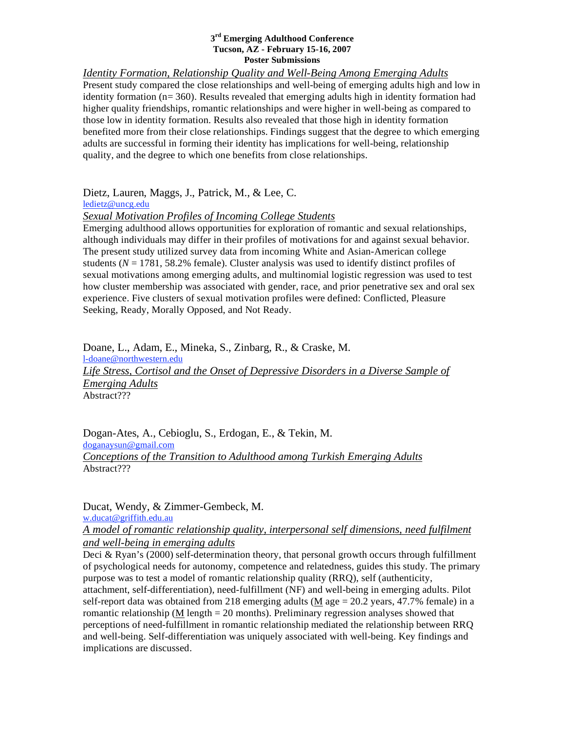*Identity Formation, Relationship Quality and Well-Being Among Emerging Adults* Present study compared the close relationships and well-being of emerging adults high and low in identity formation ( $n= 360$ ). Results revealed that emerging adults high in identity formation had higher quality friendships, romantic relationships and were higher in well-being as compared to those low in identity formation. Results also revealed that those high in identity formation benefited more from their close relationships. Findings suggest that the degree to which emerging adults are successful in forming their identity has implications for well-being, relationship quality, and the degree to which one benefits from close relationships.

Dietz, Lauren, Maggs, J., Patrick, M., & Lee, C.

ledietz@uncg.edu

# *Sexual Motivation Profiles of Incoming College Students*

Emerging adulthood allows opportunities for exploration of romantic and sexual relationships, although individuals may differ in their profiles of motivations for and against sexual behavior. The present study utilized survey data from incoming White and Asian-American college students ( $N = 1781, 58.2\%$  female). Cluster analysis was used to identify distinct profiles of sexual motivations among emerging adults, and multinomial logistic regression was used to test how cluster membership was associated with gender, race, and prior penetrative sex and oral sex experience. Five clusters of sexual motivation profiles were defined: Conflicted, Pleasure Seeking, Ready, Morally Opposed, and Not Ready.

Doane, L., Adam, E., Mineka, S., Zinbarg, R., & Craske, M. l-doane@northwestern.edu *Life Stress, Cortisol and the Onset of Depressive Disorders in a Diverse Sample of Emerging Adults* Abstract???

Dogan-Ates, A., Cebioglu, S., Erdogan, E., & Tekin, M. doganaysun@gmail.com *Conceptions of the Transition to Adulthood among Turkish Emerging Adults* Abstract???

Ducat, Wendy, & Zimmer-Gembeck, M.

w.ducat@griffith.edu.au

# *A model of romantic relationship quality, interpersonal self dimensions, need fulfilment and well-being in emerging adults*

Deci & Ryan's (2000) self-determination theory, that personal growth occurs through fulfillment of psychological needs for autonomy, competence and relatedness, guides this study. The primary purpose was to test a model of romantic relationship quality (RRQ), self (authenticity, attachment, self-differentiation), need-fulfillment (NF) and well-being in emerging adults. Pilot self-report data was obtained from 218 emerging adults ( $M$  age = 20.2 years, 47.7% female) in a romantic relationship (M length = 20 months). Preliminary regression analyses showed that perceptions of need-fulfillment in romantic relationship mediated the relationship between RRQ and well-being. Self-differentiation was uniquely associated with well-being. Key findings and implications are discussed.